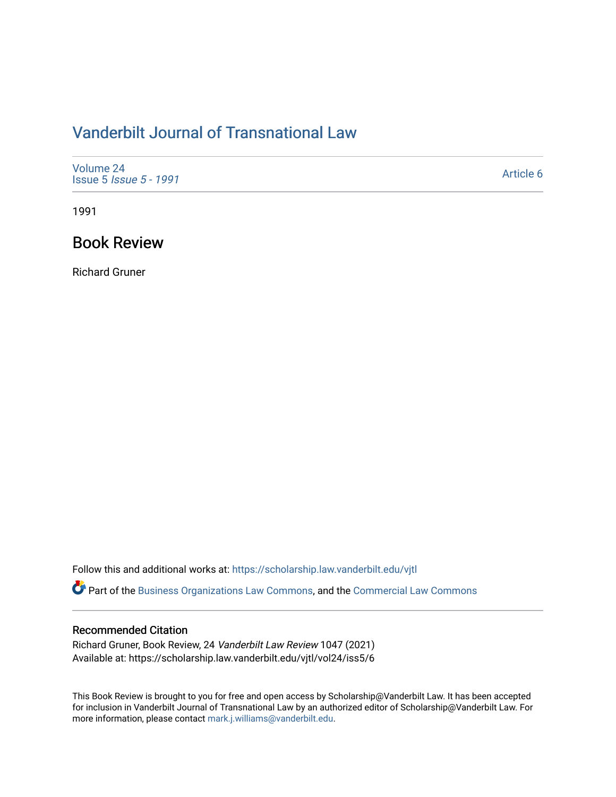# [Vanderbilt Journal of Transnational Law](https://scholarship.law.vanderbilt.edu/vjtl)

| Volume 24<br><b>Issue 5 <i>Issue 5 - 1991</i></b> | Article 6 |
|---------------------------------------------------|-----------|
|---------------------------------------------------|-----------|

1991

# Book Review

Richard Gruner

Follow this and additional works at: [https://scholarship.law.vanderbilt.edu/vjtl](https://scholarship.law.vanderbilt.edu/vjtl?utm_source=scholarship.law.vanderbilt.edu%2Fvjtl%2Fvol24%2Fiss5%2F6&utm_medium=PDF&utm_campaign=PDFCoverPages) 

Part of the [Business Organizations Law Commons](http://network.bepress.com/hgg/discipline/900?utm_source=scholarship.law.vanderbilt.edu%2Fvjtl%2Fvol24%2Fiss5%2F6&utm_medium=PDF&utm_campaign=PDFCoverPages), and the [Commercial Law Commons](http://network.bepress.com/hgg/discipline/586?utm_source=scholarship.law.vanderbilt.edu%2Fvjtl%2Fvol24%2Fiss5%2F6&utm_medium=PDF&utm_campaign=PDFCoverPages) 

## Recommended Citation

Richard Gruner, Book Review, 24 Vanderbilt Law Review 1047 (2021) Available at: https://scholarship.law.vanderbilt.edu/vjtl/vol24/iss5/6

This Book Review is brought to you for free and open access by Scholarship@Vanderbilt Law. It has been accepted for inclusion in Vanderbilt Journal of Transnational Law by an authorized editor of Scholarship@Vanderbilt Law. For more information, please contact [mark.j.williams@vanderbilt.edu](mailto:mark.j.williams@vanderbilt.edu).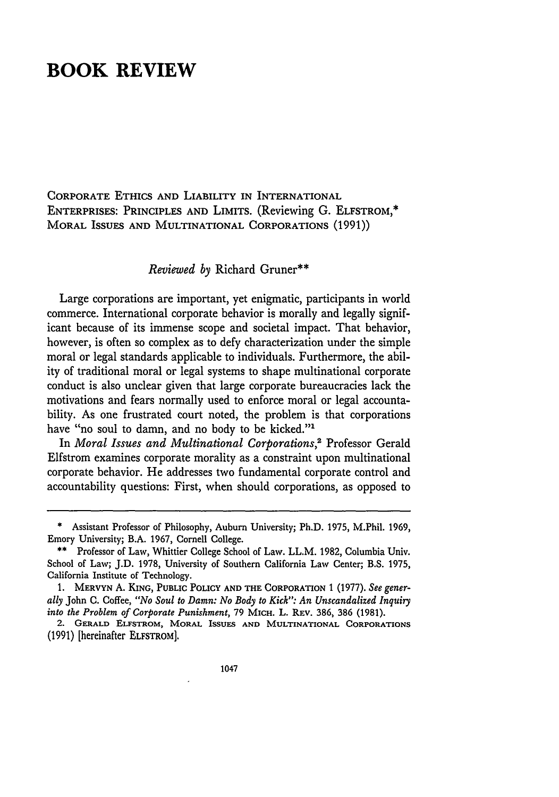# **BOOK REVIEW**

CORPORATE ETHICS AND LIABILITY IN INTERNATIONAL ENTERPRISES: PRINCIPLES **AND** LIMITS. (Reviewing **G.** ELFSTROM,\* MORAL ISSUES AND MULTINATIONAL CORPORATIONS (1991))

### *Reviewed by* Richard Gruner\*\*

Large corporations are important, yet enigmatic, participants in world commerce. International corporate behavior is morally and legally significant because of its immense scope and societal impact. That behavior, however, is often so complex as to defy characterization under the simple moral or legal standards applicable to individuals. Furthermore, the ability of traditional moral or legal systems to shape multinational corporate conduct is also unclear given that large corporate bureaucracies lack the motivations and fears normally used to enforce moral or legal accountability. As one frustrated court noted, the problem is that corporations have "no soul to damn, and no body to be kicked."<sup>1</sup>

In *Moral Issues and Multinational Corporations,2* Professor Gerald Elfstrom examines corporate morality as a constraint upon multinational corporate behavior. He addresses two fundamental corporate control and accountability questions: First, when should corporations, as opposed to

Assistant Professor of Philosophy, Auburn University; Ph.D. 1975, M.Phil. 1969, Emory University; B.A. 1967, Cornell College.

<sup>\*\*</sup> Professor of Law, Whittier College School of Law. LL.M. 1982, Columbia Univ. School of Law; J.D. 1978, University of Southern California Law Center; B.S. 1975, California Institute of Technology.

**<sup>1.</sup>** MERVYN **A.** KING, PUBLIC POLICY **AND THE** CORPORATION **1 (1977).** *See generally* John C. Coffee, *"No Soul to Damn: No Body to Kick": An Unscandalized Inquiry into the Problem of Corporate Punishment,* 79 MICH. L. REV. 386, 386 (1981).

<sup>2.</sup> **GERALD ELFSTROM, MORAL ISSUES AND MULTINATIONAL CORPORATIONS** (1991) [hereinafter ELFSTROM].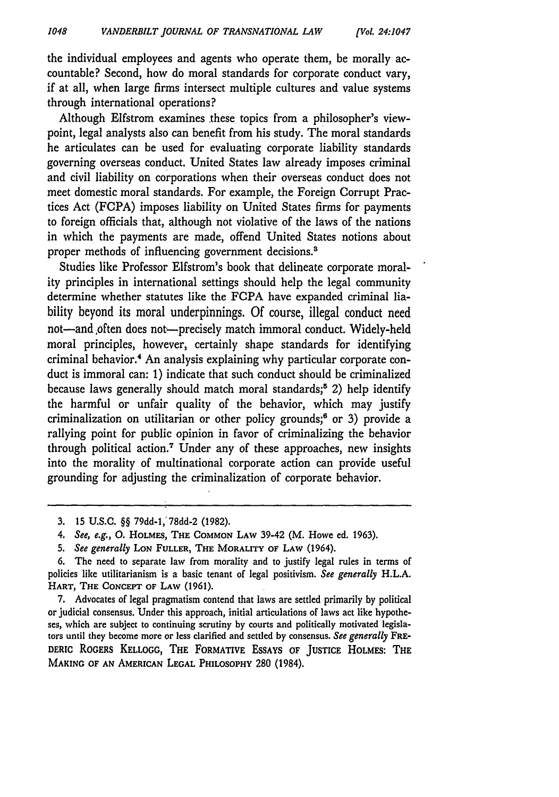the individual employees and agents who operate them, be morally accountable? Second, how do moral standards for corporate conduct vary, if at all, when large firms intersect multiple cultures and value systems through international operations?

Although Elfstrom examines these topics from a philosopher's viewpoint, legal analysts also can benefit from his study. The moral standards he articulates can be used for evaluating corporate liability standards governing overseas conduct. United States law already imposes criminal and civil liability on corporations when their overseas conduct does not meet domestic moral standards. For example, the Foreign Corrupt Practices Act (FCPA) imposes liability on United States firms for payments to foreign officials that, although not violative of the laws of the nations in which the payments are made, offend United States notions about proper methods of influencing government decisions.<sup>3</sup>

Studies like Professor Elfstrom's book that delineate corporate morality principles in international settings should help the legal community determine whether statutes like the FCPA have expanded criminal liability beyond its moral underpinnings. Of course, illegal conduct need not-and often does not-precisely match immoral conduct. Widely-held moral principles, however, certainly shape standards for identifying criminal behavior.<sup>4</sup> An analysis explaining why particular corporate conduct is immoral can: 1) indicate that such conduct should be criminalized because laws generally should match moral standards;<sup>5</sup> 2) help identify the harmful or unfair quality of the behavior, which may justify criminalization on utilitarian or other policy grounds;<sup>6</sup> or 3) provide a rallying point for public opinion in favor of criminalizing the behavior through political action.7 Under any of these approaches, new insights into the morality of multinational corporate action can provide useful grounding for adjusting the criminalization of corporate behavior.

5. See generally **LoN** FULLER, THE MORALITY **OF** LAW (1964).

**7.** Advocates of legal pragmatism contend that laws are settled primarily by political or judicial consensus. Under this approach, initial articulations of laws act like hypotheses, which are subject to continuing scrutiny **by** courts and politically motivated legislators until they become more or less clarified and settled by consensus. *See generally* FRE-DERIC ROGERS **KELLOGG,** THE FORMATIVE **ESSAYS** OF **JUSTICE HOLMES:** THE MAKING OF **AN AMERICAN LEGAL** PHILOSOPHY 280 (1984).

**<sup>3.</sup>** 15 **U.S.C.** §§ 79dd-l,'78dd-2 (1982).

<sup>4.</sup> See, e.g., **0.** HOLMES, THE **COMMON** LAW 39-42 (M. Howe ed. 1963).

**<sup>6.</sup>** The need to separate law from morality and to justify legal rules in terms of policies like utilitarianism is a basic tenant of legal positivism. *See generally* H.L.A. HART, **THE CONCEPT OF LAW** (1961).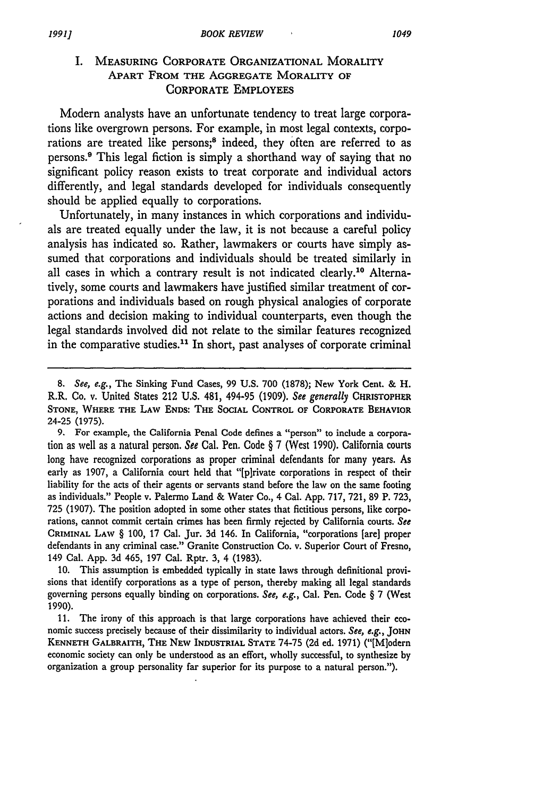## I. MEASURING CORPORATE **ORGANIZATIONAL** MORALITY **APART** FROM THE **AGGREGATE** MORALITY **OF CORPORATE EMPLOYEES**

Modern analysts have an unfortunate tendency to treat large corporations like overgrown persons. For example, in most legal contexts, corporations are treated like persons;<sup>8</sup> indeed, they often are referred to as persons.9 This legal fiction is simply a shorthand way of saying that no significant policy reason exists to treat corporate and individual actors differently, and legal standards developed for individuals consequently should be applied equally to corporations.

Unfortunately, in many instances in which corporations and individuals are treated equally under the law, it is not because a careful policy analysis has indicated so. Rather, lawmakers or courts have simply assumed that corporations and individuals should be treated similarly in all cases in which a contrary result is not indicated clearly.1° Alternatively, some courts and lawmakers have justified similar treatment of corporations and individuals based on rough physical analogies of corporate actions and decision making to individual counterparts, even though the legal standards involved did not relate to the similar features recognized in the comparative studies.<sup>11</sup> In short, past analyses of corporate criminal

9. For example, the California Penal Code defines a "person" to include a corporation as well as a natural person. *See* Cal. Pen. Code **§ 7** (West **1990).** California courts long have recognized corporations as proper criminal defendants for many years. As early as 1907, a California court held that "[p]rivate corporations in respect of their liability for the acts of their agents or servants stand before the law on the same footing as individuals." People v. Palermo Land & Water Co., 4 Cal. App. 717, 721, 89 P. 723, 725 (1907). The position adopted in some other states that fictitious persons, like corporations, cannot commit certain crimes has been firmly rejected by California courts. *See* CRIMINAL LAW § 100, 17 Cal. Jur. 3d 146. In California, "corporations [are] proper defendants in any criminal case." Granite Construction Co. v. Superior Court of Fresno, 149 Cal. App. 3d 465, 197 Cal. Rptr. 3, 4 (1983).

10. This assumption is embedded typically in state laws through definitional provisions that identify corporations as a type of person, thereby making all legal standards governing persons equally binding on corporations. *See, e.g.,* Cal. Pen. Code § 7 (West 1990).

11. The irony of this approach is that large corporations have achieved their economic success precisely because of their dissimilarity to individual actors. *See, e.g.,* **JOHN KENNETH** GALBRAITH, **THE NEW** INDUSTRIAL **STATE** 74-75 **(2d** ed. 1971) ("[Mlodern economic society can only be understood as an effort, wholly successful, to synthesize by organization a group personality far superior for its purpose to a natural person.").

*<sup>8.</sup> See, e.g.,* The Sinking Fund Cases, 99 U.S. 700 (1878); New York Cent. & H. R.R. Co. v. United States 212 **U.S.** 481, 494-95 (1909). *See generally* **CHRISTOPHER STONE,** WHERE THE LAw **ENDS:** THE SOCIAL CONTROL OF **CORPORATE** BEHAVIOR 24-25 (1975).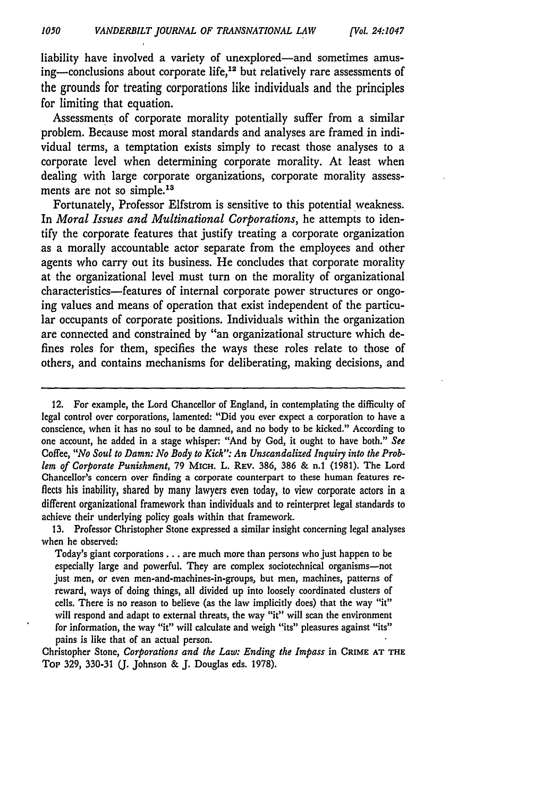liability have involved a variety of unexplored-and sometimes amusing-conclusions about corporate life,<sup>12</sup> but relatively rare assessments of the grounds for treating corporations like individuals and the principles for limiting that equation.

Assessments of corporate morality potentially suffer from a similar problem. Because most moral standards and analyses are framed in individual terms, a temptation exists simply to recast those analyses to a corporate level when determining corporate morality. At least when dealing with large corporate organizations, corporate morality assessments are not so simple.<sup>13</sup>

Fortunately, Professor Elfstrom is sensitive to this potential weakness. In *Moral Issues and Multinational Corporations,* he attempts to identify the corporate features that justify treating a corporate organization as a morally accountable actor separate from the employees and other agents who carry out its business. He concludes that corporate morality at the organizational level must turn on the morality of organizational characteristics-features of internal corporate power structures or ongoing values and means of operation that exist independent of the particular occupants of corporate positions. Individuals within the organization are connected and constrained by "an organizational structure which defines roles for them, specifies the ways these roles relate to those of others, and contains mechanisms for deliberating, making decisions, and

<sup>12.</sup> For example, the Lord Chancellor of England, in contemplating the difficulty of legal control over corporations, lamented: "Did you ever expect a corporation to have a conscience, when it has no soul to be damned, and no body to be kicked." According to one account, he added in a stage whisper: "And by God, it ought to have both." *See* Coffee, *"No Soul to Damn: No Body to Kick". An Unscandalized Inquiry into the Problem of Corporate Punishment,* 79 **MicH.** L. REv. 386, 386 & n.1 (1981). The Lord Chancellor's concern over finding a corporate counterpart to these human features reflects his inability, shared **by** many lawyers even today, to view corporate actors in a different organizational framework than individuals and to reinterpret legal standards to achieve their underlying policy goals within that framework.

<sup>13.</sup> Professor Christopher Stone expressed a similar insight concerning legal analyses when he observed:

Today's giant corporations **...** are much more than persons who just happen to be especially large and powerful. They are complex sociotechnical organisms-not just men, or even men-and-machines-in-groups, but men, machines, patterns of reward, ways of doing things, all divided up into loosely coordinated clusters of cells. There is no reason to believe (as the law implicitly does) that the way "it" will respond and adapt to external threats, the way "it" will scan the environment for information, the way "it" will calculate and weigh "its" pleasures against "its" pains is like that of an actual person.

Christopher Stone, *Corporations and the Law: Ending the Impass* **in** CRIME **AT** THE Top 329, 330-31 (J. Johnson & **J.** Douglas eds. 1978).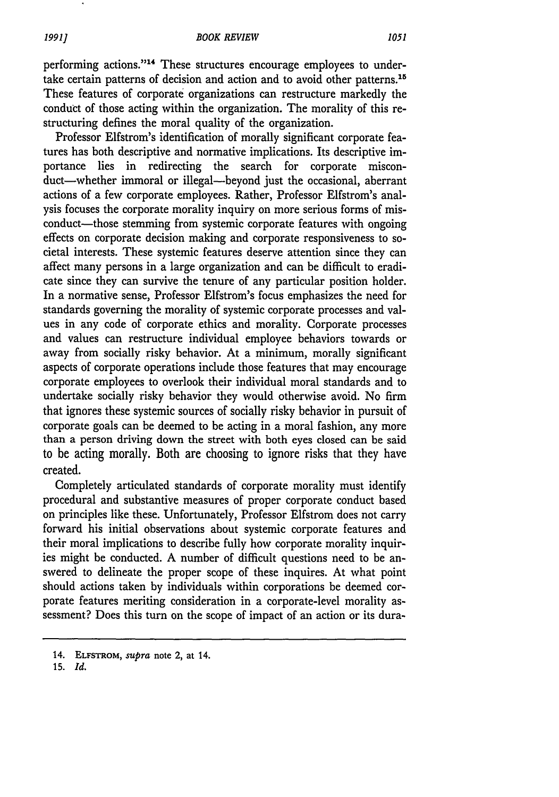#### *BOOK REVIEW*

*1991]*

performing actions."<sup>14</sup> These structures encourage employees to undertake certain patterns of decision and action and to avoid other patterns.<sup>15</sup> These features of corporate organizations can restructure markedly the conduct of those acting within the organization. The morality of this restructuring defines the moral quality of the organization.

Professor Elfstrom's identification of morally significant corporate features has both descriptive and normative implications. Its descriptive importance lies in redirecting the search for corporate misconduct-whether immoral or illegal-beyond just the occasional, aberrant actions of a few corporate employees. Rather, Professor Elfstrom's analysis focuses the corporate morality inquiry on more serious forms of misconduct-those stemming from systemic corporate features with ongoing effects on corporate decision making and corporate responsiveness to societal interests. These systemic features deserve attention since they can affect many persons in a large organization and can be difficult to eradicate since they can survive the tenure of any particular position holder. In a normative sense, Professor Elfstrom's focus emphasizes the need for standards governing the morality of systemic corporate processes and values in any code of corporate ethics and morality. Corporate processes and values can restructure individual employee behaviors towards or away from socially risky behavior. At a minimum, morally significant aspects of corporate operations include those features that may encourage corporate employees to overlook their individual moral standards and to undertake socially risky behavior they would otherwise avoid. No firm that ignores these systemic sources of socially risky behavior in pursuit of corporate goals can be deemed to be acting in a moral fashion, any more than a person driving down the street with both eyes closed can be said to be acting morally. Both are choosing to ignore risks that they have created.

Completely articulated standards of corporate morality must identify procedural and substantive measures of proper corporate conduct based on principles like these. Unfortunately, Professor Elfstrom does not carry forward his initial observations about systemic corporate features and their moral implications to describe fully how corporate morality inquiries might be conducted. A number of difficult questions need to be answered to delineate the proper scope of these inquires. At what point should actions taken by individuals within corporations be deemed corporate features meriting consideration in a corporate-level morality assessment? Does this turn on the scope of impact of an action or its dura-

15. *Id.*

<sup>14.</sup> ELFSTROM, *supra* note 2, at 14.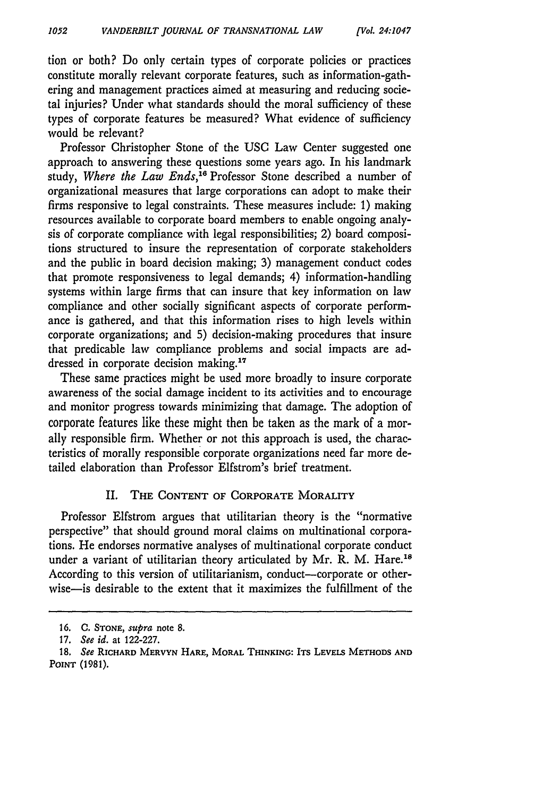tion or both? Do only certain types of corporate policies or practices constitute morally relevant corporate features, such as information-gathering and management practices aimed at measuring and reducing societal injuries? Under what standards should the moral sufficiency of these types of corporate features be measured? What evidence of sufficiency would be relevant?

Professor Christopher Stone of the USC Law Center suggested one approach to answering these questions some years ago. In his landmark study, Where the Law Ends,<sup>16</sup> Professor Stone described a number of organizational measures that large corporations can adopt to make their firms responsive to legal constraints. These measures include: 1) making resources available to corporate board members to enable ongoing analysis of corporate compliance with legal responsibilities; 2) board compositions structured to insure the representation of corporate stakeholders and the public in board decision making; 3) management conduct codes that promote responsiveness to legal demands; 4) information-handling systems within large firms that can insure that key information on law compliance and other socially significant aspects of corporate performance is gathered, and that this information rises to high levels within corporate organizations; and **5)** decision-making procedures that insure that predicable law compliance problems and social impacts are addressed in corporate decision making.<sup>17</sup>

These same practices might be used more broadly to insure corporate awareness of the social damage incident to its activities and to encourage and monitor progress towards minimizing that damage. The adoption of corporate features like these might then be taken as the mark of a morally responsible firm. Whether or not this approach is used, the characteristics of morally responsible corporate organizations need far more detailed elaboration than Professor Elfstrom's brief treatment.

### II. THE **CONTENT** OF CORPORATE MORALITY

Professor Elfstrom argues that utilitarian theory is the "normative perspective" that should ground moral claims on multinational corporations. He endorses normative analyses of multinational corporate conduct under a variant of utilitarian theory articulated by Mr. R. M. Hare.<sup>18</sup> According to this version of utilitarianism, conduct-corporate or otherwise—is desirable to the extent that it maximizes the fulfillment of the

**<sup>16.</sup> C. STONE,** *supra* note **8.**

**<sup>17.</sup>** *See id.* at **122-227.**

*<sup>18.</sup> See* RICHARD MERVYN HARE, MORAL THINKING: ITS LEVELS METHODS **AND POINT (1981).**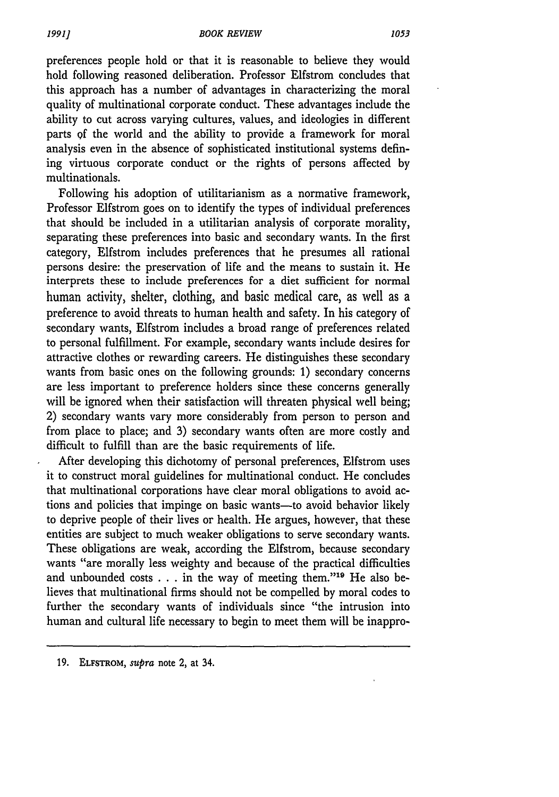preferences people hold or that it is reasonable to believe they would hold following reasoned deliberation. Professor Elfstrom concludes that this approach has a number of advantages in characterizing the moral quality of multinational corporate conduct. These advantages include the ability to cut across varying cultures, values, and ideologies in different parts of the world and the ability to provide a framework for moral analysis even in the absence of sophisticated institutional systems defining virtuous corporate conduct or the rights of persons affected by multinationals.

Following his adoption of utilitarianism as a normative framework, Professor Elfstrom goes on to identify the types of individual preferences that should be included in a utilitarian analysis of corporate morality, separating these preferences into basic and secondary wants. In the first category, Elfstrom includes preferences that he presumes all rational persons desire: the preservation of life and the means to sustain it. He interprets these to include preferences for a diet sufficient for normal human activity, shelter, clothing, and basic medical care, as well as a preference to avoid threats to human health and safety. In his category of secondary wants, Elfstrom includes a broad range of preferences related to personal fulfillment. For example, secondary wants include desires for attractive clothes or rewarding careers. He distinguishes these secondary wants from basic ones on the following grounds: **1)** secondary concerns are less important to preference holders since these concerns generally will be ignored when their satisfaction will threaten physical well being; 2) secondary wants vary more considerably from person to person and from place to place; and 3) secondary wants often are more costly and difficult to fulfill than are the basic requirements of life.

After developing this dichotomy of personal preferences, Elfstrom uses it to construct moral guidelines for multinational conduct. He concludes that multinational corporations have clear moral obligations to avoid actions and policies that impinge on basic wants-to avoid behavior likely to deprive people of their lives or health. He argues, however, that these entities are subject to much weaker obligations to serve secondary wants. These obligations are weak, according the Elfstrom, because secondary wants "are morally less weighty and because of the practical difficulties and unbounded costs  $\dots$  in the way of meeting them."<sup>19</sup> He also believes that multinational firms should not be compelled by moral codes to further the secondary wants of individuals since "the intrusion into human and cultural life necessary to begin to meet them will be inappro-

**19. ELFSTROM,** *supra* note 2, at 34.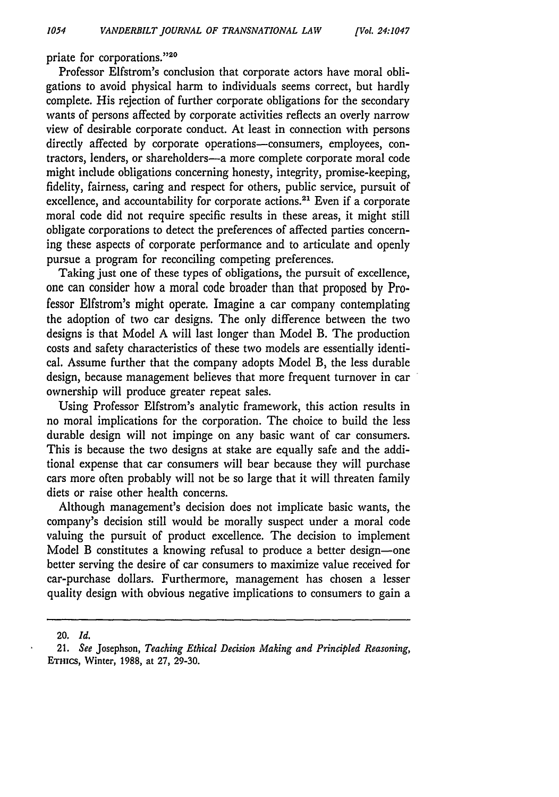priate for corporations."20

Professor Elfstrom's conclusion that corporate actors have moral obligations to avoid physical harm to individuals seems correct, but hardly complete. His rejection of further corporate obligations for the secondary wants of persons affected by corporate activities reflects an overly narrow view of desirable corporate conduct. At least in connection with persons directly affected by corporate operations-consumers, employees, contractors, lenders, or shareholders-a more complete corporate moral code might include obligations concerning honesty, integrity, promise-keeping, fidelity, fairness, caring and respect for others, public service, pursuit of excellence, and accountability for corporate actions.<sup>21</sup> Even if a corporate moral code did not require specific results in these areas, it might still obligate corporations to detect the preferences of affected parties concerning these aspects of corporate performance and to articulate and openly pursue a program for reconciling competing preferences.

Taking just one of these types of obligations, the pursuit of excellence, one can consider how a moral code broader than that proposed by Professor Elfstrom's might operate. Imagine a car company contemplating the adoption of two car designs. The only difference between the two designs is that Model A will last longer than Model B. The production costs and safety characteristics of these two models are essentially identical. Assume further that the company adopts Model B, the less durable design, because management believes that more frequent turnover in car ownership will produce greater repeat sales.

Using Professor Elfstrom's analytic framework, this action results in no moral implications for the corporation. The choice to build the less durable design will not impinge on any basic want of car consumers. This is because the two designs at stake are equally safe and the additional expense that car consumers will bear because they will purchase cars more often probably will not be so large that it will threaten family diets or raise other health concerns.

Although management's decision does not implicate basic wants, the company's decision still would be morally suspect under a moral code valuing the pursuit of product excellence. The decision to implement Model B constitutes a knowing refusal to produce a better design-one better serving the desire of car consumers to maximize value received for car-purchase dollars. Furthermore, management has chosen a lesser quality design with obvious negative implications to consumers to gain a

<sup>20.</sup> *Id.*

<sup>21.</sup> *See* Josephson, *Teaching Ethical Decision Making and Principled Reasoning,* EThics, Winter, 1988, at 27, 29-30.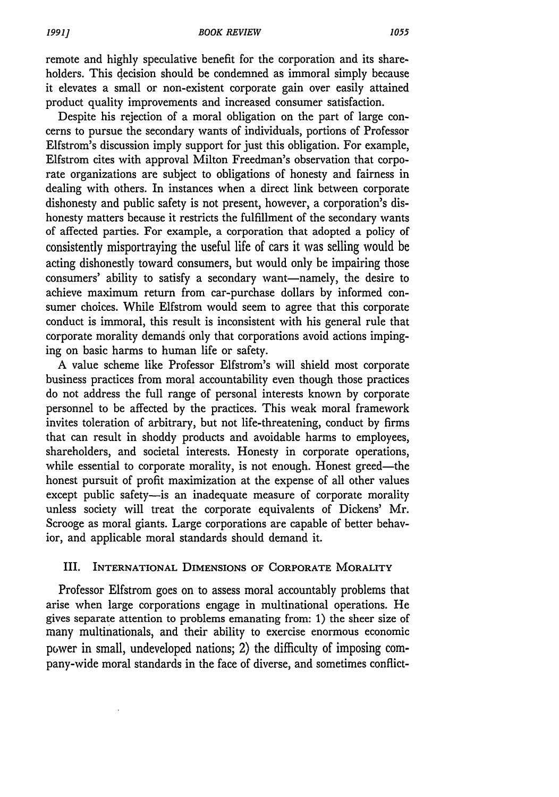remote and highly speculative benefit for the corporation and its shareholders. This decision should be condemned as immoral simply because it elevates a small or non-existent corporate gain over easily attained product quality improvements and increased consumer satisfaction.

Despite his rejection of a moral obligation on the part of large concerns to pursue the secondary wants of individuals, portions of Professor Elfstrom's discussion imply support for just this obligation. For example, Elfstrom cites with approval Milton Freedman's observation that corporate organizations are subject to obligations of honesty and fairness in dealing with others. In instances when a direct link between corporate dishonesty and public safety is not present, however, a corporation's dishonesty matters because it restricts the fulfillment of the secondary wants of affected parties. For example, a corporation that adopted a policy of consistently misportraying the useful life of cars it was selling would be acting dishonestly toward consumers, but would only be impairing those consumers' ability to satisfy a secondary want-namely, the desire to achieve maximum return from car-purchase dollars by informed consumer choices. While Elfstrom would seem to agree that this corporate conduct is immoral, this result is inconsistent with his general rule that corporate morality demands only that corporations avoid actions impinging on basic harms to human life or safety.

A value scheme like Professor Elfstrom's will shield most corporate business practices from moral accountability even though those practices do not address the full range of personal interests known by corporate personnel to be affected by the practices. This weak moral framework invites toleration of arbitrary, but not life-threatening, conduct by firms that can result in shoddy products and avoidable harms to employees, shareholders, and societal interests. Honesty in corporate operations, while essential to corporate morality, is not enough. Honest greed-the honest pursuit of profit maximization at the expense of all other values except public safety-is an inadequate measure of corporate morality unless society will treat the corporate equivalents of Dickens' Mr. Scrooge as moral giants. Large corporations are capable of better behavior, and applicable moral standards should demand it.

## III. INTERNATIONAL DIMENSIONS **OF** CORPORATE MORALITY

Professor Elfstrom goes on to assess moral accountably problems that arise when large corporations engage in multinational operations. He gives separate attention to problems emanating from: **1)** the sheer size of many multinationals, and their ability to exercise enormous economic power in small, undeveloped nations; 2) the difficulty of imposing company-wide moral standards in the face of diverse, and sometimes conflict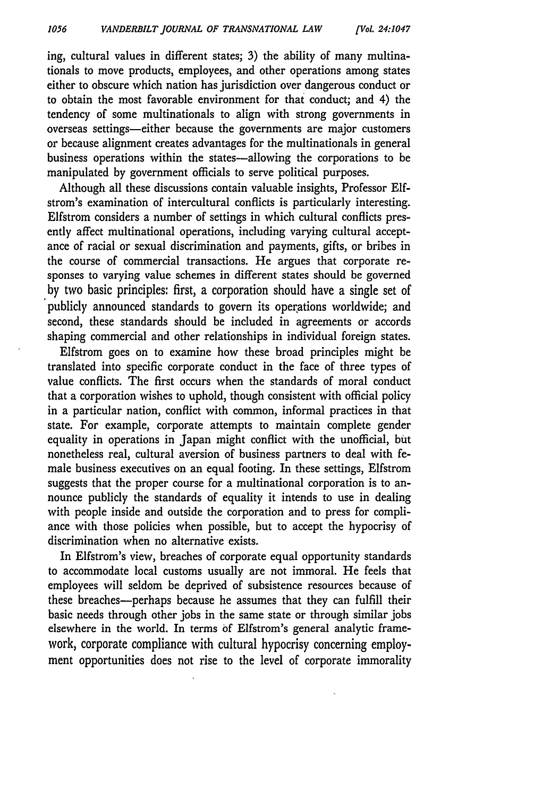ing, cultural values in different states; 3) the ability of many multinationals to move products, employees, and other operations among states either to obscure which nation has jurisdiction over dangerous conduct or to obtain the most favorable environment for that conduct; and 4) the tendency of some multinationals to align with strong governments in overseas settings-either because the governments are major customers or because alignment creates advantages for the multinationals in general business operations within the states-allowing the corporations to be manipulated by government officials to serve political purposes.

Although all these discussions contain valuable insights, Professor Elfstrom's examination of intercultural conflicts is particularly interesting. Elfstrom considers a number of settings in which cultural conflicts presently affect multinational operations, including varying cultural acceptance of racial or sexual discrimination and payments, gifts, or bribes in the course of commercial transactions. He argues that corporate responses to varying value schemes in different states should be governed by two basic principles: first, a corporation should have a single set of publicly announced standards to govern its operations worldwide; and second, these standards should be included in agreements or accords shaping commercial and other relationships in individual foreign states.

Elfstrom goes on to examine how these broad principles might be translated into specific corporate conduct in the face of three types of value conflicts. The first occurs when the standards of moral conduct that a corporation wishes to uphold, though consistent with official policy in a particular nation, conflict with common, informal practices in that state. For example, corporate attempts to maintain complete gender equality in operations in Japan might conflict with the unofficial, but nonetheless real, cultural aversion of business partners to deal with female business executives on an equal footing. In these settings, Elfstrom suggests that the proper course for a multinational corporation is to announce publicly the standards of equality it intends to use in dealing with people inside and outside the corporation and to press for compliance with those policies when possible, but to accept the hypocrisy of discrimination when no alternative exists.

In Elfstrom's view, breaches of corporate equal opportunity standards to accommodate local customs usually are not immoral. He feels that employees will seldom be deprived of subsistence resources because of these breaches-perhaps because he assumes that they can fulfill their basic needs through other jobs in the same state or through similar jobs elsewhere in the world. In terms **of** Elfstrom's general analytic framework, corporate compliance with cultural hypocrisy concerning employment opportunities does not rise to the level of corporate immorality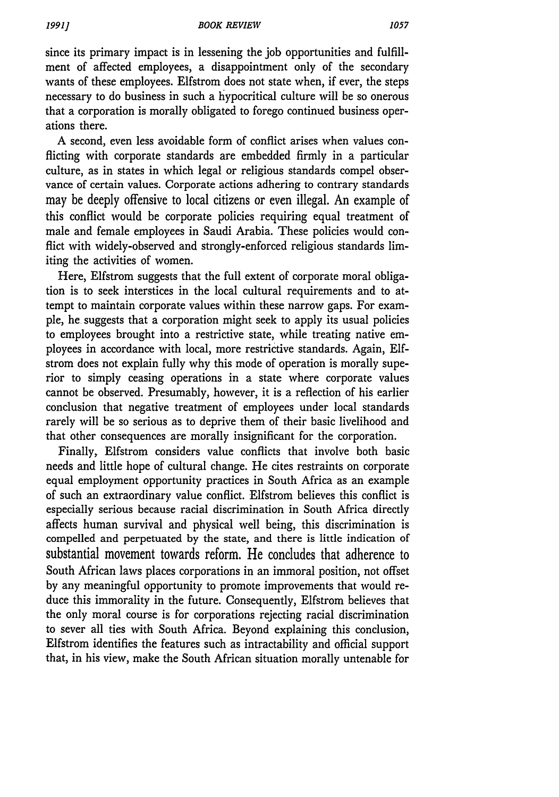since its primary impact is in lessening the job opportunities and fulfillment of affected employees, a disappointment only of the secondary wants of these employees. Elfstrom does not state when, if ever, the steps necessary to do business in such a hypocritical culture will be so onerous that a corporation is morally obligated to forego continued business operations there.

A second, even less avoidable form of conflict arises when values conflicting with corporate standards are embedded firmly in a particular culture, as in states in which legal or religious standards compel observance of certain values. Corporate actions adhering to contrary standards may be deeply offensive to local citizens or even illegal. An example of this conflict would be corporate policies requiring equal treatment of male and female employees in Saudi Arabia. These policies would conflict with widely-observed and strongly-enforced religious standards limiting the activities of women.

Here, Elfstrom suggests that the full extent of corporate moral obligation is to seek interstices in the local cultural requirements and to attempt to maintain corporate values within these narrow gaps. For example, he suggests that a corporation might seek to apply its usual policies to employees brought into a restrictive state, while treating native employees in accordance with local, more restrictive standards. Again, **Elf**strom does not explain fully why this mode of operation is morally superior to simply ceasing operations in a state where corporate values cannot be observed. Presumably, however, it is a reflection of his earlier conclusion that negative treatment of employees under local standards rarely will be so serious as to deprive them of their basic livelihood and that other consequences are morally insignificant for the corporation.

Finally, Elfstrom considers value conflicts that involve both basic needs and little hope of cultural change. He cites restraints on corporate equal employment opportunity practices in South Africa as an example of such an extraordinary value conflict. Elfstrom believes this conflict is especially serious because racial discrimination in South Africa directly affects human survival and physical well being, this discrimination is compelled and perpetuated by the state, and there is little indication of substantial movement towards reform. He concludes that adherence to South African laws places corporations in an immoral position, not offset by any meaningful opportunity to promote improvements that would reduce this immorality in the future. Consequently, Elfstrom believes that the only moral course is for corporations rejecting racial discrimination to sever all ties with South Africa. Beyond explaining this conclusion, Elfstrom identifies the features such as intractability and official support that, in his view, make the South African situation morally untenable for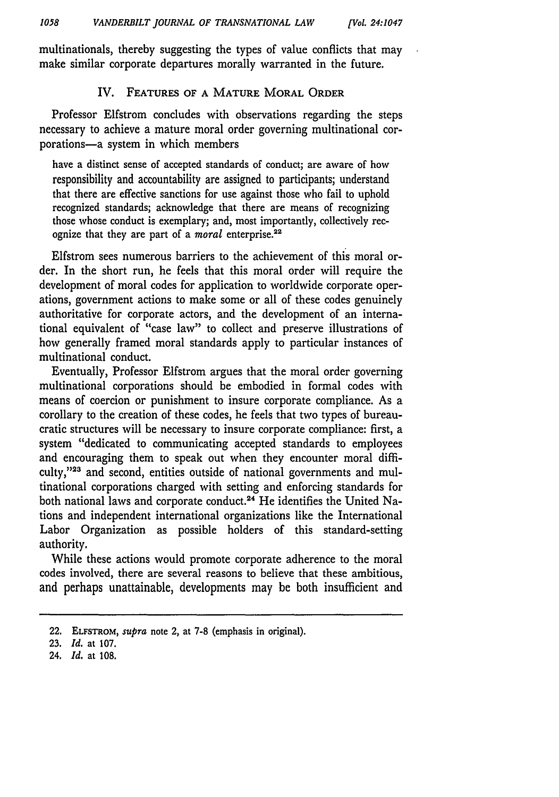multinationals, thereby suggesting the types of value conflicts that may make similar corporate departures morally warranted in the future.

## IV. **FEATURES OF A MATURE MORAL ORDER**

Professor Elfstrom concludes with observations regarding the steps necessary to achieve a mature moral order governing multinational corporations-a system in which members

have a distinct sense of accepted standards of conduct; are aware of how responsibility and accountability are assigned to participants; understand that there are effective sanctions for use against those who fail to uphold recognized standards; acknowledge that there are means of recognizing those whose conduct is exemplary; and, most importantly, collectively recognize that they are part of a *moral* enterprise.<sup>22</sup>

Elfstrom sees numerous barriers to the achievement of this moral order. In the short run, he feels that this moral order will require the development of moral codes for application to worldwide corporate operations, government actions to make some or all of these codes genuinely authoritative for corporate actors, and the development of an international equivalent of "case law" to collect and preserve illustrations of how generally framed moral standards apply to particular instances of multinational conduct.

Eventually, Professor Elfstrom argues that the moral order governing multinational corporations should be embodied in formal codes with means of coercion or punishment to insure corporate compliance. As a corollary to the creation of these codes, he feels that two types of bureaucratic structures will be necessary to insure corporate compliance: first, a system "dedicated to communicating accepted standards to employees and encouraging them to speak out when they encounter moral difficulty,"<sup>23</sup> and second, entities outside of national governments and multinational corporations charged with setting and enforcing standards for both national laws and corporate conduct.<sup>24</sup> He identifies the United Nations and independent international organizations like the International Labor Organization as possible holders of this standard-setting authority.

While these actions would promote corporate adherence to the moral codes involved, there are several reasons to believe that these ambitious, and perhaps unattainable, developments may be both insufficient and

**<sup>22.</sup>** ELFSTROM, *supra* note 2, at **7-8** (emphasis in original).

**<sup>23.</sup>** *Id.* at **107.**

**<sup>24.</sup>** *Id.* at **108.**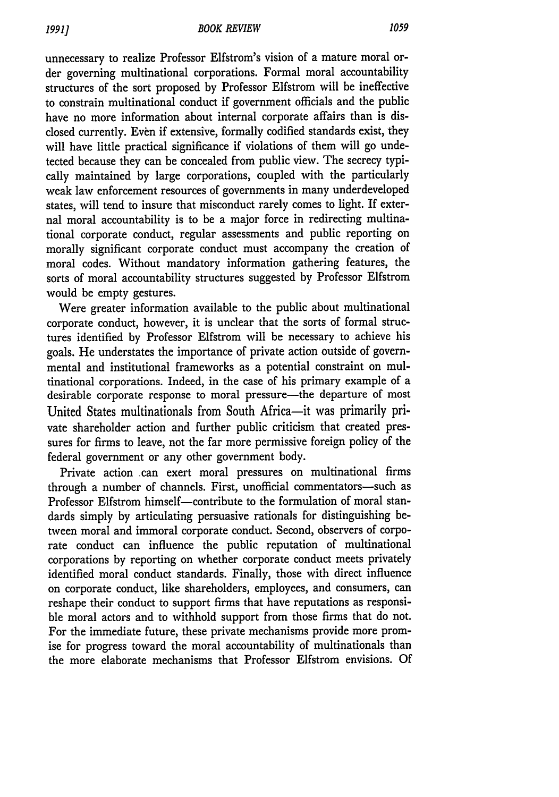unnecessary to realize Professor Elfstrom's vision of a mature moral order governing multinational corporations. Formal moral accountability structures of the sort proposed by Professor Elfstrom will be ineffective to constrain multinational conduct if government officials and the public have no more information about internal corporate affairs than is disclosed currently. Even if extensive, formally codified standards exist, they will have little practical significance if violations of them will go undetected because they can be concealed from public view. The secrecy typically maintained by large corporations, coupled with the particularly weak law enforcement resources of governments in many underdeveloped states, will tend to insure that misconduct rarely comes to light. If external moral accountability is to be a major force in redirecting multinational corporate conduct, regular assessments and public reporting on morally significant corporate conduct must accompany the creation of moral codes. Without mandatory information gathering features, the sorts of moral accountability structures suggested by Professor Elfstrom would be empty gestures.

Were greater information available to the public about multinational corporate conduct, however, it is unclear that the sorts of formal structures identified by Professor Elfstrom will be necessary to achieve his goals. He understates the importance of private action outside of governmental and institutional frameworks as a potential constraint on multinational corporations. Indeed, in the case of his primary example of a desirable corporate response to moral pressure-the departure of most United States multinationals from South Africa-it was primarily private shareholder action and further public criticism that created pressures for firms to leave, not the far more permissive foreign policy of the federal government or any other government body.

Private action .can exert moral pressures on multinational firms through a number of channels. First, unofficial commentators-such as Professor Elfstrom himself-contribute to the formulation of moral standards simply by articulating persuasive rationals for distinguishing between moral and immoral corporate conduct. Second, observers of corporate conduct can influence the public reputation of multinational corporations by reporting on whether corporate conduct meets privately identified moral conduct standards. Finally, those with direct influence on corporate conduct, like shareholders, employees, and consumers, can reshape their conduct to support firms that have reputations as responsible moral actors and to withhold support from those firms that do not. For the immediate future, these private mechanisms provide more promise for progress toward the moral accountability of multinationals than the more elaborate mechanisms that Professor Elfstrom envisions. Of